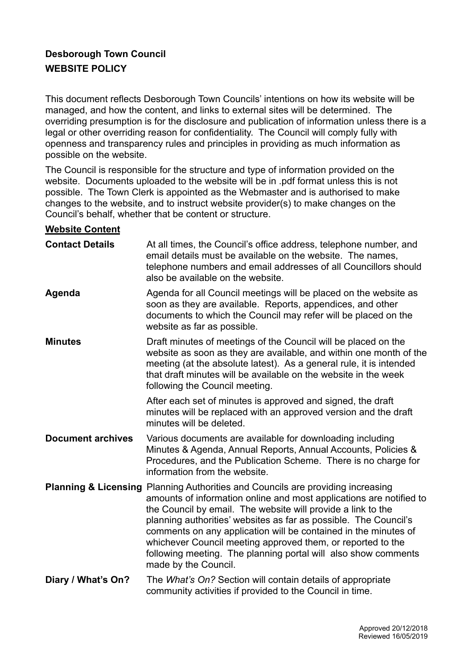## **Desborough Town Council WEBSITE POLICY**

This document reflects Desborough Town Councils' intentions on how its website will be managed, and how the content, and links to external sites will be determined. The overriding presumption is for the disclosure and publication of information unless there is a legal or other overriding reason for confidentiality. The Council will comply fully with openness and transparency rules and principles in providing as much information as possible on the website.

The Council is responsible for the structure and type of information provided on the website. Documents uploaded to the website will be in .pdf format unless this is not possible. The Town Clerk is appointed as the Webmaster and is authorised to make changes to the website, and to instruct website provider(s) to make changes on the Council's behalf, whether that be content or structure.

## **Website Content**

| <b>Contact Details</b>   | At all times, the Council's office address, telephone number, and<br>email details must be available on the website. The names,<br>telephone numbers and email addresses of all Councillors should<br>also be available on the website.                                                                                                                                                                                                                                                                                           |
|--------------------------|-----------------------------------------------------------------------------------------------------------------------------------------------------------------------------------------------------------------------------------------------------------------------------------------------------------------------------------------------------------------------------------------------------------------------------------------------------------------------------------------------------------------------------------|
| Agenda                   | Agenda for all Council meetings will be placed on the website as<br>soon as they are available. Reports, appendices, and other<br>documents to which the Council may refer will be placed on the<br>website as far as possible.                                                                                                                                                                                                                                                                                                   |
| <b>Minutes</b>           | Draft minutes of meetings of the Council will be placed on the<br>website as soon as they are available, and within one month of the<br>meeting (at the absolute latest). As a general rule, it is intended<br>that draft minutes will be available on the website in the week<br>following the Council meeting.                                                                                                                                                                                                                  |
|                          | After each set of minutes is approved and signed, the draft<br>minutes will be replaced with an approved version and the draft<br>minutes will be deleted.                                                                                                                                                                                                                                                                                                                                                                        |
| <b>Document archives</b> | Various documents are available for downloading including<br>Minutes & Agenda, Annual Reports, Annual Accounts, Policies &<br>Procedures, and the Publication Scheme. There is no charge for<br>information from the website.                                                                                                                                                                                                                                                                                                     |
|                          | <b>Planning &amp; Licensing Planning Authorities and Councils are providing increasing</b><br>amounts of information online and most applications are notified to<br>the Council by email. The website will provide a link to the<br>planning authorities' websites as far as possible. The Council's<br>comments on any application will be contained in the minutes of<br>whichever Council meeting approved them, or reported to the<br>following meeting. The planning portal will also show comments<br>made by the Council. |
| Diary / What's On?       | The What's On? Section will contain details of appropriate<br>community activities if provided to the Council in time.                                                                                                                                                                                                                                                                                                                                                                                                            |